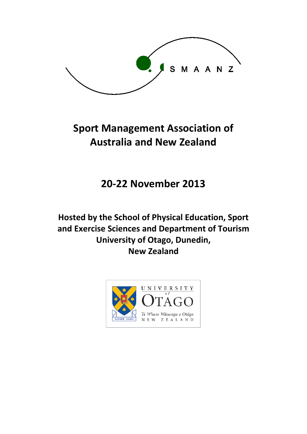

# **Sport Management Association of Australia and New Zealand**

## **20-22 November 2013**

## **Hosted by the School of Physical Education, Sport and Exercise Sciences and Department of Tourism University of Otago, Dunedin, New Zealand**

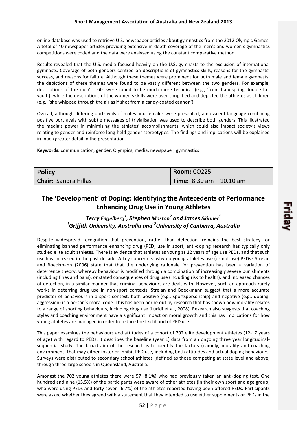online database was used to retrieve U.S. newspaper articles about gymnastics from the 2012 Olympic Games. A total of 40 newspaper articles providing extensive in-depth coverage of the men's and women's gymnastics competitions were coded and the data were analysed using the constant comparative method.

Results revealed that the U.S. media focused heavily on the U.S. gymnasts to the exclusion of international gymnasts. Coverage of both genders centred on descriptions of gymnastics skills, reasons for the gymnasts' success, and reasons for failure. Although these themes were prominent for both male and female gymnasts, the depictions of these themes were found to be vastly different between the two genders. For example, descriptions of the men's skills were found to be much more technical (e.g., 'front handspring double full vault'), while the descriptions of the women's skills were over-simplified and depicted the athletes as children (e.g., 'she whipped through the air as if shot from a candy-coated cannon').

Overall, although differing portrayals of males and females were presented, ambivalent language combining positive portrayals with subtle messages of trivialisation was used to describe both genders. This illustrated the media's power in minimising the athletes' accomplishments, which could also impact society's views relating to gender and reinforce long-held gender stereotypes. The findings and implications will be explained in much greater detail in the presentation.

**Keywords:** communication, gender, Olympics, media, newspaper, gymnastics

| <b>Policy</b>               | Room: CO225                                       |
|-----------------------------|---------------------------------------------------|
| <b>Chair: Sandra Hillas</b> | <b>Time:</b> $8.30 \text{ am} - 10.10 \text{ am}$ |

## **The 'Development' of Doping: Identifying the Antecedents of Performance Enhancing Drug Use in Young Athletes**

### *Terry Engelberg<sup>1</sup> , Stephen Moston2 and James Skinner1 1 Griffith University, Australia and <sup>2</sup> University of Canberra, Australia*

Despite widespread recognition that prevention, rather than detection, remains the best strategy for eliminating banned performance enhancing drug (PED) use in sport, anti-doping research has typically only studied elite adult athletes. There is evidence that athletes as young as 12 years of age use PEDs, and that such use has increased in the past decade. A key concern is: why do young athletes use (or not use) PEDs? Strelan and Boeckmann (2006) state that that the underlying rationale for prevention has been a variation of deterrence theory, whereby behaviour is modified through a combination of increasingly severe punishments (including fines and bans), or stated consequences of drug use (including risk to health), and increased chances of detection, in a similar manner that criminal behaviours are dealt with. However, such an approach rarely works in deterring drug use in non-sport contexts. Strelan and Boeckmann suggest that a more accurate predictor of behaviours in a sport context, both positive (e.g., sportspersonship) and negative (e.g., doping; aggression) is a person's moral code. This has been borne out by research that has shown how morality relates to a range of sporting behaviours, including drug use (Lucidi et al., 2008). Research also suggests that coaching styles and coaching environment have a significant impact on moral growth and this has implications for how young athletes are managed in order to reduce the likelihood of PED use.

This paper examines the behaviours and attitudes of a cohort of 702 elite development athletes (12-17 years of age) with regard to PEDs. It describes the baseline (year 1) data from an ongoing three year longitudinalsequential study. The broad aim of the research is to identify the factors (namely, morality and coaching environment) that may either foster or inhibit PED use, including both attitudes and actual doping behaviours. Surveys were distributed to secondary school athletes (defined as those competing at state level and above) through three large schools in Queensland, Australia.

Amongst the 702 young athletes there were 57 (8.1%) who had previously taken an anti-doping test. One hundred and nine (15.5%) of the participants were aware of other athletes (in their own sport and age group) who were using PEDs and forty seven (6.7%) of the athletes reported having been offered PEDs. Participants were asked whether they agreed with a statement that they intended to use either supplements or PEDs in the